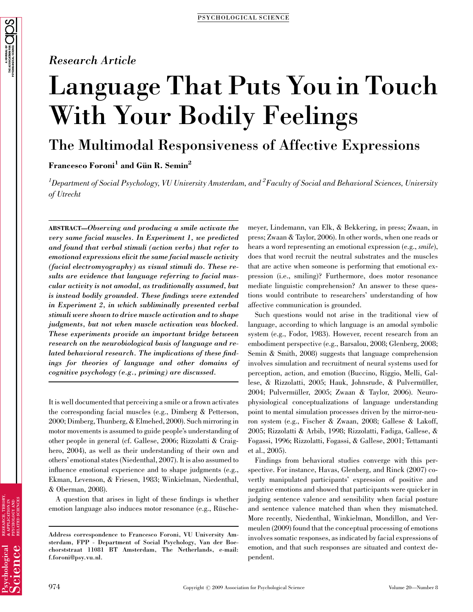### Research Article

# Language That Puts You in Touch With Your Bodily Feelings

## The Multimodal Responsiveness of Affective Expressions

Francesco Foroni<sup>1</sup> and Gün R. Semin<sup>2</sup>

 $^1$ Department of Social Psychology, VU University Amsterdam, and  $^2$ Faculty of Social and Behavioral Sciences, University of Utrecht

ABSTRACT—Observing and producing a smile activate the very same facial muscles. In Experiment 1, we predicted and found that verbal stimuli (action verbs) that refer to emotional expressions elicit the same facial muscle activity (facial electromyography) as visual stimuli do. These results are evidence that language referring to facial muscular activity is not amodal, as traditionally assumed, but is instead bodily grounded. These findings were extended in Experiment 2, in which subliminally presented verbal stimuli were shown to drive muscle activation and to shape judgments, but not when muscle activation was blocked. These experiments provide an important bridge between research on the neurobiological basis of language and related behavioral research. The implications of these findings for theories of language and other domains of cognitive psychology (e.g., priming) are discussed.

It is well documented that perceiving a smile or a frown activates the corresponding facial muscles (e.g., Dimberg & Petterson, 2000; Dimberg, Thunberg, & Elmehed, 2000). Such mirroring in motor movements is assumed to guide people's understanding of other people in general (cf. Gallese, 2006; Rizzolatti & Craighero, 2004), as well as their understanding of their own and others' emotional states (Niedenthal, 2007). It is also assumed to influence emotional experience and to shape judgments (e.g., Ekman, Levenson, & Friesen, 1983; Winkielman, Niedenthal, & Oberman, 2008).

A question that arises in light of these findings is whether emotion language also induces motor resonance (e.g., Rüschemeyer, Lindemann, van Elk, & Bekkering, in press; Zwaan, in press; Zwaan & Taylor, 2006). In other words, when one reads or hears a word representing an emotional expression (e.g., smile), does that word recruit the neutral substrates and the muscles that are active when someone is performing that emotional expression (i.e., smiling)? Furthermore, does motor resonance mediate linguistic comprehension? An answer to these questions would contribute to researchers' understanding of how affective communication is grounded.

Such questions would not arise in the traditional view of language, according to which language is an amodal symbolic system (e.g., Fodor, 1983). However, recent research from an embodiment perspective (e.g., Barsalou, 2008; Glenberg, 2008; Semin & Smith, 2008) suggests that language comprehension involves simulation and recruitment of neural systems used for perception, action, and emotion (Buccino, Riggio, Melli, Gallese, & Rizzolatti, 2005; Hauk, Johnsrude, & Pulvermüller, 2004; Pulvermüller, 2005; Zwaan & Taylor, 2006). Neurophysiological conceptualizations of language understanding point to mental simulation processes driven by the mirror-neuron system (e.g., Fischer & Zwaan, 2008; Gallese & Lakoff, 2005; Rizzolatti & Arbib, 1998; Rizzolatti, Fadiga, Gallese, & Fogassi, 1996; Rizzolatti, Fogassi, & Gallese, 2001; Tettamanti et al., 2005).

Findings from behavioral studies converge with this perspective. For instance, Havas, Glenberg, and Rinck (2007) covertly manipulated participants' expression of positive and negative emotions and showed that participants were quicker in judging sentence valence and sensibility when facial posture and sentence valence matched than when they mismatched. More recently, Niedenthal, Winkielman, Mondillon, and Vermeulen (2009) found that the conceptual processing of emotions involves somatic responses, as indicated by facial expressions of emotion, and that such responses are situated and context dependent.

Address correspondence to Francesco Foroni, VU University Amsterdam, FPP - Department of Social Psychology, Van der Boechorststraat 11081 BT Amsterdam, The Netherlands, e-mail: f.foroni@psy.vu.nl.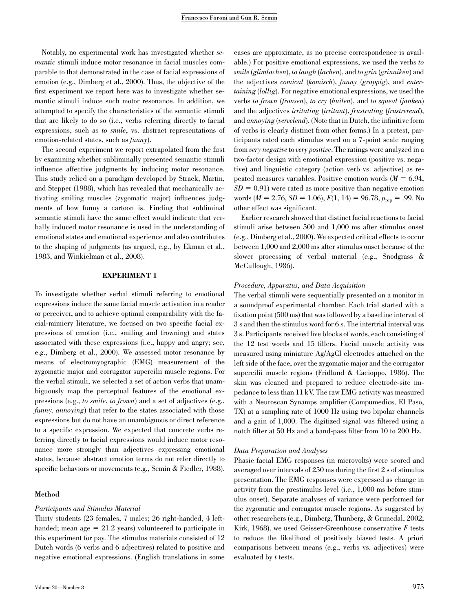Notably, no experimental work has investigated whether semantic stimuli induce motor resonance in facial muscles comparable to that demonstrated in the case of facial expressions of emotion (e.g., Dimberg et al., 2000). Thus, the objective of the first experiment we report here was to investigate whether semantic stimuli induce such motor resonance. In addition, we attempted to specify the characteristics of the semantic stimuli that are likely to do so (i.e., verbs referring directly to facial expressions, such as to smile, vs. abstract representations of emotion-related states, such as *funny*).

The second experiment we report extrapolated from the first by examining whether subliminally presented semantic stimuli influence affective judgments by inducing motor resonance. This study relied on a paradigm developed by Strack, Martin, and Stepper (1988), which has revealed that mechanically activating smiling muscles (zygomatic major) influences judgments of how funny a cartoon is. Finding that subliminal semantic stimuli have the same effect would indicate that verbally induced motor resonance is used in the understanding of emotional states and emotional experience and also contributes to the shaping of judgments (as argued, e.g., by Ekman et al., 1983, and Winkielman et al., 2008).

#### EXPERIMENT 1

To investigate whether verbal stimuli referring to emotional expressions induce the same facial muscle activation in a reader or perceiver, and to achieve optimal comparability with the facial-mimicry literature, we focused on two specific facial expressions of emotion (i.e., smiling and frowning) and states associated with these expressions (i.e., happy and angry; see, e.g., Dimberg et al., 2000). We assessed motor resonance by means of electromyographic (EMG) measurement of the zygomatic major and corrugator supercilii muscle regions. For the verbal stimuli, we selected a set of action verbs that unambiguously map the perceptual features of the emotional expressions (e.g., to smile, to frown) and a set of adjectives (e.g., funny, annoying) that refer to the states associated with those expressions but do not have an unambiguous or direct reference to a specific expression. We expected that concrete verbs referring directly to facial expressions would induce motor resonance more strongly than adjectives expressing emotional states, because abstract emotion terms do not refer directly to specific behaviors or movements (e.g., Semin & Fiedler, 1988).

#### Method

#### Participants and Stimulus Material

Thirty students (23 females, 7 males; 26 right-handed, 4 lefthanded; mean age  $= 21.2$  years) volunteered to participate in this experiment for pay. The stimulus materials consisted of 12 Dutch words (6 verbs and 6 adjectives) related to positive and negative emotional expressions. (English translations in some

of verbs is clearly distinct from other forms.) In a pretest, participants rated each stimulus word on a 7-point scale ranging from very negative to very positive. The ratings were analyzed in a two-factor design with emotional expression (positive vs. negative) and linguistic category (action verb vs. adjective) as repeated measures variables. Positive emotion words  $(M = 6.94,$  $SD = 0.91$ ) were rated as more positive than negative emotion words ( $M = 2.76$ ,  $SD = 1.06$ ),  $F(1, 14) = 96.78$ ,  $p_{rep} = .99$ . No other effect was significant. Earlier research showed that distinct facial reactions to facial stimuli arise between 500 and 1,000 ms after stimulus onset (e.g., Dimberg et al., 2000). We expected critical effects to occur between 1,000 and 2,000 ms after stimulus onset because of the slower processing of verbal material (e.g., Snodgrass & McCullough, 1986).

#### Procedure, Apparatus, and Data Acquisition

The verbal stimuli were sequentially presented on a monitor in a soundproof experimental chamber. Each trial started with a fixation point (500 ms) that was followed by a baseline interval of 3 s and then the stimulus word for 6 s. The intertrial interval was 3 s. Participants received five blocks of words, each consisting of the 12 test words and 15 fillers. Facial muscle activity was measured using miniature Ag/AgCl electrodes attached on the left side of the face, over the zygomatic major and the corrugator supercilii muscle regions (Fridlund & Cacioppo, 1986). The skin was cleaned and prepared to reduce electrode-site impedance to less than 11 kV. The raw EMG activity was measured with a Neuroscan Synamps amplifier (Compumedics, El Paso, TX) at a sampling rate of 1000 Hz using two bipolar channels and a gain of 1,000. The digitized signal was filtered using a notch filter at 50 Hz and a band-pass filter from 10 to 200 Hz.

cases are approximate, as no precise correspondence is available.) For positive emotional expressions, we used the verbs to smile (glimlachen), to laugh (lachen), and to grin (grinniken) and the adjectives comical (komisch), funny (grappig), and entertaining (lollig). For negative emotional expressions, we used the verbs to frown (fronsen), to cry (huilen), and to squeal (janken) and the adjectives irritating (irritant), frustrating (frustrerend), and annoying (vervelend). (Note that in Dutch, the infinitive form

#### Data Preparation and Analyses

Phasic facial EMG responses (in microvolts) were scored and averaged over intervals of 250 ms during the first 2 s of stimulus presentation. The EMG responses were expressed as change in activity from the prestimulus level (i.e., 1,000 ms before stimulus onset). Separate analyses of variance were performed for the zygomatic and corrugator muscle regions. As suggested by other researchers (e.g., Dimberg, Thunberg, & Grunedal, 2002; Kirk, 1968), we used Geisser-Greenhouse conservative  $F$  tests to reduce the likelihood of positively biased tests. A priori comparisons between means (e.g., verbs vs. adjectives) were evaluated by t tests.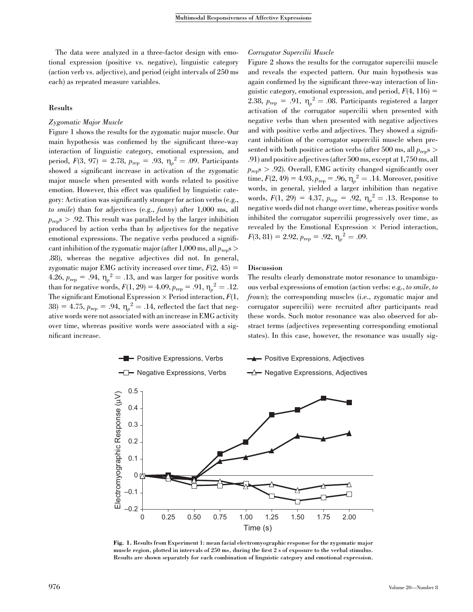The data were analyzed in a three-factor design with emotional expression (positive vs. negative), linguistic category (action verb vs. adjective), and period (eight intervals of 250 ms each) as repeated measure variables.

#### Results

#### Zygomatic Major Muscle

Figure 1 shows the results for the zygomatic major muscle. Our main hypothesis was confirmed by the significant three-way interaction of linguistic category, emotional expression, and period,  $F(3, 97) = 2.78$ ,  $p_{\text{rep}} = .93$ ,  $\eta_p^2 = .09$ . Participants showed a significant increase in activation of the zygomatic major muscle when presented with words related to positive emotion. However, this effect was qualified by linguistic category: Activation was significantly stronger for action verbs (e.g., to smile) than for adjectives (e.g., funny) after 1,000 ms, all  $p_{\text{ren}}$  > .92. This result was paralleled by the larger inhibition produced by action verbs than by adjectives for the negative emotional expressions. The negative verbs produced a significant inhibition of the zygomatic major (after 1,000 ms, all  $p_{\rm{res}}$ ) .88), whereas the negative adjectives did not. In general, zygomatic major EMG activity increased over time,  $F(2, 45) =$ 4.26,  $p_{\text{rep}} = .94$ ,  $\eta_p^2 = .13$ , and was larger for positive words than for negative words,  $F(1, 29) = 4.09$ ,  $p_{\rm rep} = .91$ ,  $\eta_p^2 = .12$ . The significant Emotional Expression  $\times$  Period interaction,  $F(1, 0)$ 38) = 4.75,  $p_{\text{rep}} = .94$ ,  $\eta_p^2 = .14$ , reflected the fact that negative words were not associated with an increase in EMG activity over time, whereas positive words were associated with a significant increase.

#### Corrugator Supercilii Muscle

Figure 2 shows the results for the corrugator supercilii muscle and reveals the expected pattern. Our main hypothesis was again confirmed by the significant three-way interaction of linguistic category, emotional expression, and period,  $F(4, 116) =$ 2.38,  $p_{\text{rep}} = .91$ ,  $\eta_p^2 = .08$ . Participants registered a larger activation of the corrugator supercilii when presented with negative verbs than when presented with negative adjectives and with positive verbs and adjectives. They showed a significant inhibition of the corrugator supercilii muscle when presented with both positive action verbs (after 500 ms, all  $p_{\text{ren}}$ s > .91) and positive adjectives (after 500 ms, except at 1,750 ms, all  $p_{\text{rep}}$ s > .92). Overall, EMG activity changed significantly over time,  $F(2, 49) = 4.93, p_{\text{rep}} = .96, \eta_p^2 = .14$ . Moreover, positive words, in general, yielded a larger inhibition than negative words,  $F(1, 29) = 4.37$ ,  $p_{\rm rep} = .92$ ,  $\eta_p^2 = .13$ . Response to negative words did not change over time, whereas positive words inhibited the corrugator supercilii progressively over time, as revealed by the Emotional Expression  $\times$  Period interaction,  $F(3, 81) = 2.92, p_{\text{rep}} = .92, \eta_p^2 = .09.$ 

#### Discussion

The results clearly demonstrate motor resonance to unambiguous verbal expressions of emotion (action verbs: e.g., to smile, to frown); the corresponding muscles (i.e., zygomatic major and corrugator supercilii) were recruited after participants read these words. Such motor resonance was also observed for abstract terms (adjectives representing corresponding emotional states). In this case, however, the resonance was usually sig-



Fig. 1. Results from Experiment 1: mean facial electromyographic response for the zygomatic major muscle region, plotted in intervals of 250 ms, during the first 2 s of exposure to the verbal stimulus. Results are shown separately for each combination of linguistic category and emotional expression.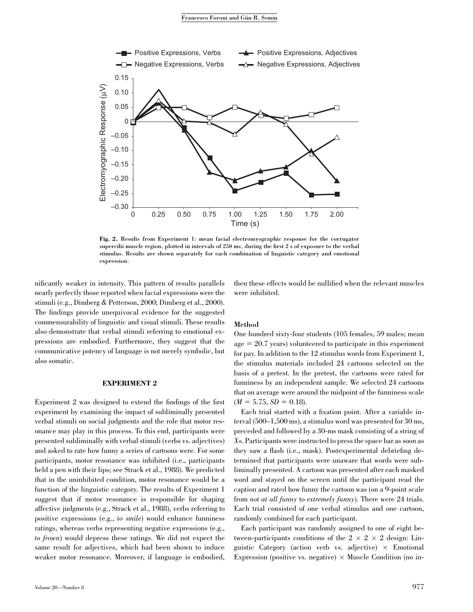

Fig. 2. Results from Experiment 1: mean facial electromyographic response for the corrugator supercilii muscle region, plotted in intervals of 250 ms, during the first 2 s of exposure to the verbal stimulus. Results are shown separately for each combination of linguistic category and emotional expression.

nificantly weaker in intensity. This pattern of results parallels nearly perfectly those reported when facial expressions were the stimuli (e.g., Dimberg & Petterson, 2000; Dimberg et al., 2000). The findings provide unequivocal evidence for the suggested commensurability of linguistic and visual stimuli. These results also demonstrate that verbal stimuli referring to emotional expressions are embodied. Furthermore, they suggest that the communicative potency of language is not merely symbolic, but also somatic.

#### EXPERIMENT 2

Experiment 2 was designed to extend the findings of the first experiment by examining the impact of subliminally presented verbal stimuli on social judgments and the role that motor resonance may play in this process. To this end, participants were presented subliminally with verbal stimuli (verbs vs. adjectives) and asked to rate how funny a series of cartoons were. For some participants, motor resonance was inhibited (i.e., participants held a pen with their lips; see Strack et al., 1988). We predicted that in the uninhibited condition, motor resonance would be a function of the linguistic category. The results of Experiment 1 suggest that if motor resonance is responsible for shaping affective judgments (e.g., Strack et al., 1988), verbs referring to positive expressions (e.g., to smile) would enhance funniness ratings, whereas verbs representing negative expressions (e.g., to frown) would depress these ratings. We did not expect the same result for adjectives, which had been shown to induce weaker motor resonance. Moreover, if language is embodied,

then these effects would be nullified when the relevant muscles were inhibited.

#### Method

One hundred sixty-four students (105 females, 59 males; mean  $age = 20.7 years)$  volunteered to participate in this experiment for pay. In addition to the 12 stimulus words from Experiment 1, the stimulus materials included 24 cartoons selected on the basis of a pretest. In the pretest, the cartoons were rated for funniness by an independent sample. We selected 24 cartoons that on average were around the midpoint of the funniness scale  $(M = 5.75, SD = 0.18).$ 

Each trial started with a fixation point. After a variable interval (500–1,500 ms), a stimulus word was presented for 30 ms, preceded and followed by a 30-ms mask consisting of a string of Xs. Participants were instructed to press the space bar as soon as they saw a flash (i.e., mask). Postexperimental debriefing determined that participants were unaware that words were subliminally presented. A cartoon was presented after each masked word and stayed on the screen until the participant read the caption and rated how funny the cartoon was (on a 9-point scale from not at all funny to extremely funny). There were 24 trials. Each trial consisted of one verbal stimulus and one cartoon, randomly combined for each participant.

Each participant was randomly assigned to one of eight between-participants conditions of the  $2 \times 2 \times 2$  design: Linguistic Category (action verb vs. adjective)  $\times$  Emotional Expression (positive vs. negative)  $\times$  Muscle Condition (no in-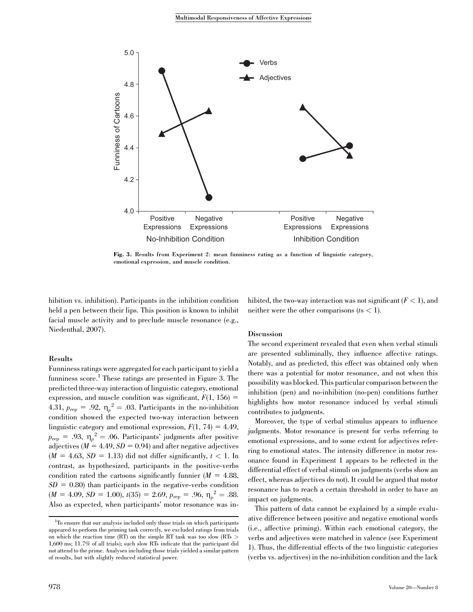

Fig. 3. Results from Experiment 2: mean funniness rating as a function of linguistic category, emotional expression, and muscle condition.

hibition vs. inhibition). Participants in the inhibition condition held a pen between their lips. This position is known to inhibit facial muscle activity and to preclude muscle resonance (e.g., Niedenthal, 2007).

#### Results

Funniness ratings were aggregated for each participant to yield a funniness score.<sup>1</sup> These ratings are presented in Figure 3. The predicted three-way interaction of linguistic category, emotional expression, and muscle condition was significant,  $F(1, 156) =$ 4.31,  $p_{\text{rep}} = .92$ ,  $\eta_p^2 = .03$ . Participants in the no-inhibition condition showed the expected two-way interaction between linguistic category and emotional expression,  $F(1, 74) = 4.49$ ,  $p_{\text{rep}} = .93, \; \eta_p^2 = .06.$  Participants' judgments after positive adjectives ( $M = 4.49$ ,  $SD = 0.94$ ) and after negative adjectives  $(M = 4.63, SD = 1.13)$  did not differ significantly,  $t < 1$ . In contrast, as hypothesized, participants in the positive-verbs condition rated the cartoons significantly funnier  $(M = 4.88,$  $SD = 0.80$ ) than participants in the negative-verbs condition  $(M = 4.09, SD = 1.00), t(35) = 2.69, p_{\text{rep}} = .96, \eta_p^2 = .88.$ Also as expected, when participants' motor resonance was inhibited, the two-way interaction was not significant  $(F < 1)$ , and neither were the other comparisons  $(ts < 1)$ .

#### Discussion

The second experiment revealed that even when verbal stimuli are presented subliminally, they influence affective ratings. Notably, and as predicted, this effect was obtained only when there was a potential for motor resonance, and not when this possibility was blocked. This particular comparison between the inhibition (pen) and no-inhibition (no-pen) conditions further highlights how motor resonance induced by verbal stimuli contributes to judgments.

Moreover, the type of verbal stimulus appears to influence judgments. Motor resonance is present for verbs referring to emotional expressions, and to some extent for adjectives referring to emotional states. The intensity difference in motor resonance found in Experiment 1 appears to be reflected in the differential effect of verbal stimuli on judgments (verbs show an effect, whereas adjectives do not). It could be argued that motor resonance has to reach a certain threshold in order to have an impact on judgments.

This pattern of data cannot be explained by a simple evaluative difference between positive and negative emotional words (i.e., affective priming). Within each emotional category, the verbs and adjectives were matched in valence (see Experiment 1). Thus, the differential effects of the two linguistic categories (verbs vs. adjectives) in the no-inhibition condition and the lack

<sup>&</sup>lt;sup>1</sup>To ensure that our analysis included only those trials on which participants appeared to perform the priming task correctly, we excluded ratings from trials on which the reaction time (RT) on the simple RT task was too slow (RTs > 1,600 ms; 11.7% of all trials); such slow RTs indicate that the participant did not attend to the prime. Analyses including those trials yielded a similar pattern of results, but with slightly reduced statistical power.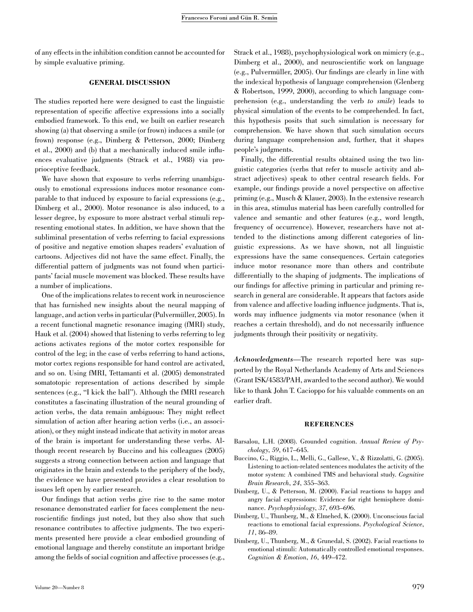of any effects in the inhibition condition cannot be accounted for by simple evaluative priming.

#### GENERAL DISCUSSION

The studies reported here were designed to cast the linguistic representation of specific affective expressions into a socially embodied framework. To this end, we built on earlier research showing (a) that observing a smile (or frown) induces a smile (or frown) response (e.g., Dimberg & Petterson, 2000; Dimberg et al., 2000) and (b) that a mechanically induced smile influences evaluative judgments (Strack et al., 1988) via proprioceptive feedback.

We have shown that exposure to verbs referring unambiguously to emotional expressions induces motor resonance comparable to that induced by exposure to facial expressions (e.g., Dimberg et al., 2000). Motor resonance is also induced, to a lesser degree, by exposure to more abstract verbal stimuli representing emotional states. In addition, we have shown that the subliminal presentation of verbs referring to facial expressions of positive and negative emotion shapes readers' evaluation of cartoons. Adjectives did not have the same effect. Finally, the differential pattern of judgments was not found when participants' facial muscle movement was blocked. These results have a number of implications.

One of the implications relates to recent work in neuroscience that has furnished new insights about the neural mapping of language, and action verbs in particular (Pulvermüller, 2005). In a recent functional magnetic resonance imaging (fMRI) study, Hauk et al. (2004) showed that listening to verbs referring to leg actions activates regions of the motor cortex responsible for control of the leg; in the case of verbs referring to hand actions, motor cortex regions responsible for hand control are activated, and so on. Using fMRI, Tettamanti et al. (2005) demonstrated somatotopic representation of actions described by simple sentences (e.g., "I kick the ball"). Although the fMRI research constitutes a fascinating illustration of the neural grounding of action verbs, the data remain ambiguous: They might reflect simulation of action after hearing action verbs (i.e., an association), or they might instead indicate that activity in motor areas of the brain is important for understanding these verbs. Although recent research by Buccino and his colleagues (2005) suggests a strong connection between action and language that originates in the brain and extends to the periphery of the body, the evidence we have presented provides a clear resolution to issues left open by earlier research.

Our findings that action verbs give rise to the same motor resonance demonstrated earlier for faces complement the neuroscientific findings just noted, but they also show that such resonance contributes to affective judgments. The two experiments presented here provide a clear embodied grounding of emotional language and thereby constitute an important bridge among the fields of social cognition and affective processes (e.g., Strack et al., 1988), psychophysiological work on mimicry (e.g., Dimberg et al., 2000), and neuroscientific work on language  $(e.g., Pulvermüller, 2005)$ . Our findings are clearly in line with the indexical hypothesis of language comprehension (Glenberg & Robertson, 1999, 2000), according to which language comprehension (e.g., understanding the verb to smile) leads to physical simulation of the events to be comprehended. In fact, this hypothesis posits that such simulation is necessary for comprehension. We have shown that such simulation occurs during language comprehension and, further, that it shapes people's judgments.

Finally, the differential results obtained using the two linguistic categories (verbs that refer to muscle activity and abstract adjectives) speak to other central research fields. For example, our findings provide a novel perspective on affective priming (e.g., Musch & Klauer, 2003). In the extensive research in this area, stimulus material has been carefully controlled for valence and semantic and other features (e.g., word length, frequency of occurrence). However, researchers have not attended to the distinctions among different categories of linguistic expressions. As we have shown, not all linguistic expressions have the same consequences. Certain categories induce motor resonance more than others and contribute differentially to the shaping of judgments. The implications of our findings for affective priming in particular and priming research in general are considerable. It appears that factors aside from valence and affective loading influence judgments. That is, words may influence judgments via motor resonance (when it reaches a certain threshold), and do not necessarily influence judgments through their positivity or negativity.

Acknowledgments—The research reported here was supported by the Royal Netherlands Academy of Arts and Sciences (Grant ISK/4583/PAH, awarded to the second author). We would like to thank John T. Cacioppo for his valuable comments on an earlier draft.

#### **REFERENCES**

- Barsalou, L.H. (2008). Grounded cognition. Annual Review of Psychology, 59, 617–645.
- Buccino, G., Riggio, L., Melli, G., Gallese, V., & Rizzolatti, G. (2005). Listening to action-related sentences modulates the activity of the motor system: A combined TMS and behavioral study. Cognitive Brain Research, 24, 355–363.
- Dimberg, U., & Petterson, M. (2000). Facial reactions to happy and angry facial expressions: Evidence for right hemisphere dominance. Psychophysiology, 37, 693–696.
- Dimberg, U., Thunberg, M., & Elmehed, K. (2000). Unconscious facial reactions to emotional facial expressions. Psychological Science, 11, 86–89.
- Dimberg, U., Thunberg, M., & Grunedal, S. (2002). Facial reactions to emotional stimuli: Automatically controlled emotional responses. Cognition & Emotion, 16, 449–472.